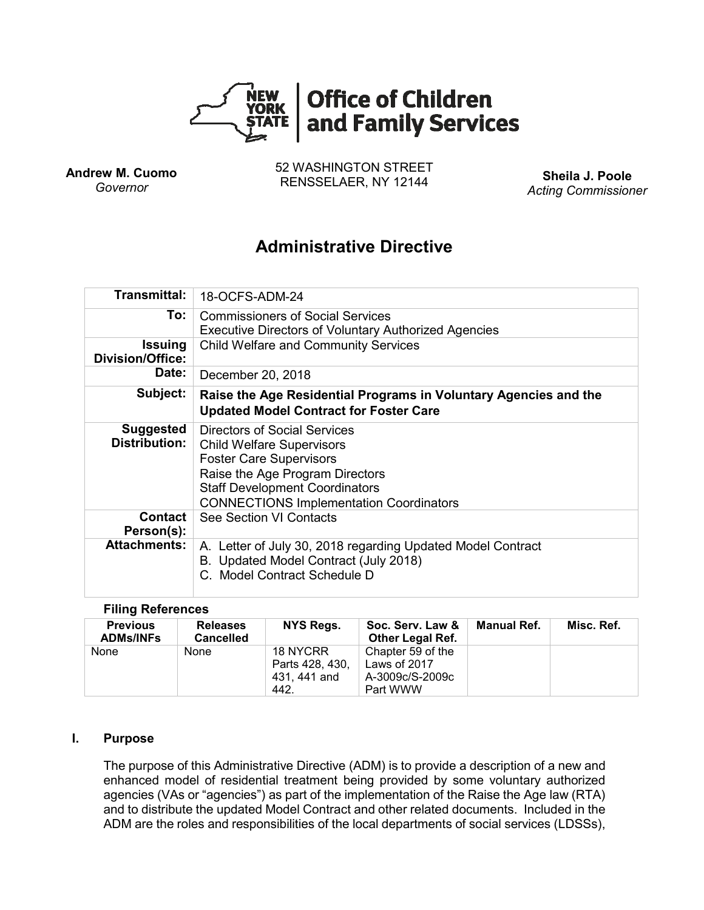

**Andrew M. Cuomo** *Governor*

52 WASHINGTON STREET RENSSELAER, NY 12144 **Sheila J. Poole**

*Acting Commissioner*

# **Administrative Directive**

| <b>Transmittal:</b>                       | 18-OCFS-ADM-24                                                                                                                                                                                                                   |  |  |  |  |
|-------------------------------------------|----------------------------------------------------------------------------------------------------------------------------------------------------------------------------------------------------------------------------------|--|--|--|--|
| To:                                       | <b>Commissioners of Social Services</b><br><b>Executive Directors of Voluntary Authorized Agencies</b>                                                                                                                           |  |  |  |  |
| <b>Issuing</b><br><b>Division/Office:</b> | <b>Child Welfare and Community Services</b>                                                                                                                                                                                      |  |  |  |  |
| Date:                                     | December 20, 2018                                                                                                                                                                                                                |  |  |  |  |
| Subject:                                  | Raise the Age Residential Programs in Voluntary Agencies and the<br><b>Updated Model Contract for Foster Care</b>                                                                                                                |  |  |  |  |
| <b>Suggested</b><br><b>Distribution:</b>  | Directors of Social Services<br><b>Child Welfare Supervisors</b><br><b>Foster Care Supervisors</b><br>Raise the Age Program Directors<br><b>Staff Development Coordinators</b><br><b>CONNECTIONS Implementation Coordinators</b> |  |  |  |  |
| <b>Contact</b><br>Person(s):              | See Section VI Contacts                                                                                                                                                                                                          |  |  |  |  |
| <b>Attachments:</b>                       | A. Letter of July 30, 2018 regarding Updated Model Contract<br>B. Updated Model Contract (July 2018)<br>C. Model Contract Schedule D                                                                                             |  |  |  |  |

## **Filing References**

| <b>Previous</b><br><b>ADMs/INFs</b> | <b>Releases</b><br><b>Cancelled</b> | NYS Regs.                                           | Soc. Serv. Law &<br><b>Other Legal Ref.</b>                      | Manual Ref. | Misc. Ref. |
|-------------------------------------|-------------------------------------|-----------------------------------------------------|------------------------------------------------------------------|-------------|------------|
| None                                | None                                | 18 NYCRR<br>Parts 428, 430.<br>431, 441 and<br>442. | Chapter 59 of the<br>Laws of 2017<br>A-3009c/S-2009c<br>Part WWW |             |            |

## **I. Purpose**

The purpose of this Administrative Directive (ADM) is to provide a description of a new and enhanced model of residential treatment being provided by some voluntary authorized agencies (VAs or "agencies") as part of the implementation of the Raise the Age law (RTA) and to distribute the updated Model Contract and other related documents. Included in the ADM are the roles and responsibilities of the local departments of social services (LDSSs),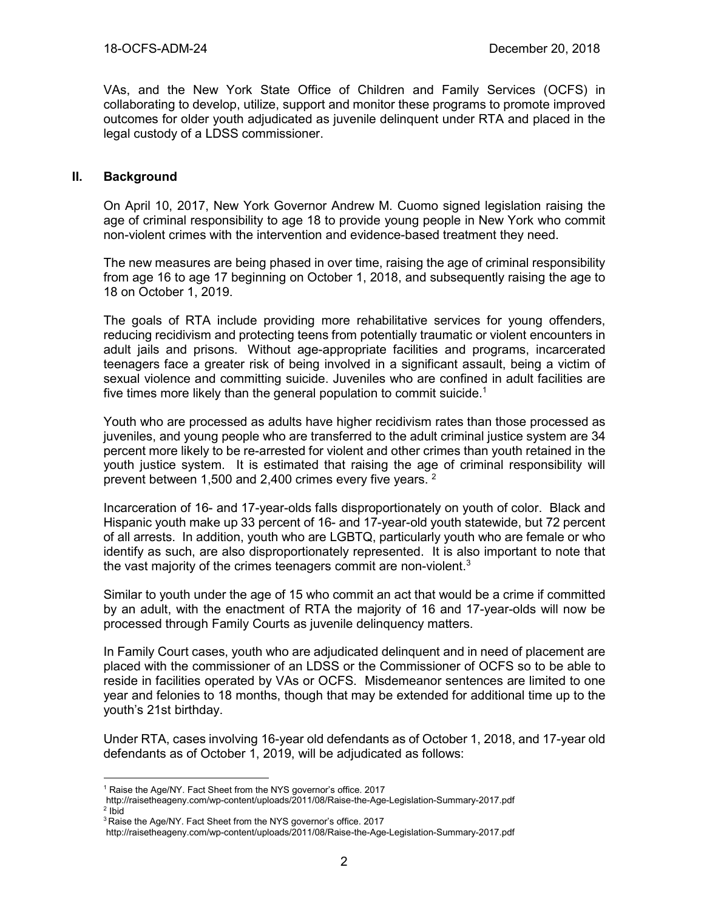VAs, and the New York State Office of Children and Family Services (OCFS) in collaborating to develop, utilize, support and monitor these programs to promote improved outcomes for older youth adjudicated as juvenile delinquent under RTA and placed in the legal custody of a LDSS commissioner.

## **II. Background**

On April 10, 2017, New York Governor Andrew M. Cuomo signed legislation raising the age of criminal responsibility to age 18 to provide young people in New York who commit non-violent crimes with the intervention and evidence-based treatment they need.

The new measures are being phased in over time, raising the age of criminal responsibility from age 16 to age 17 beginning on October 1, 2018, and subsequently raising the age to 18 on October 1, 2019.

The goals of RTA include providing more rehabilitative services for young offenders, reducing recidivism and protecting teens from potentially traumatic or violent encounters in adult jails and prisons. Without age-appropriate facilities and programs, incarcerated teenagers face a greater risk of being involved in a significant assault, being a victim of sexual violence and committing suicide. Juveniles who are confined in adult facilities are five times more likely than the general population to commit suicide.<sup>1</sup>

Youth who are processed as adults have higher recidivism rates than those processed as juveniles, and young people who are transferred to the adult criminal justice system are 34 percent more likely to be re-arrested for violent and other crimes than youth retained in the youth justice system. It is estimated that raising the age of criminal responsibility will prevent between 1,500 and 2,400 crimes every five years. <sup>2</sup>

Incarceration of 16- and 17-year-olds falls disproportionately on youth of color. Black and Hispanic youth make up 33 percent of 16- and 17-year-old youth statewide, but 72 percent of all arrests. In addition, youth who are LGBTQ, particularly youth who are female or who identify as such, are also disproportionately represented. It is also important to note that the vast majority of the crimes teenagers commit are non-violent.<sup>3</sup>

Similar to youth under the age of 15 who commit an act that would be a crime if committed by an adult, with the enactment of RTA the majority of 16 and 17-year-olds will now be processed through Family Courts as juvenile delinquency matters.

In Family Court cases, youth who are adjudicated delinquent and in need of placement are placed with the commissioner of an LDSS or the Commissioner of OCFS so to be able to reside in facilities operated by VAs or OCFS. Misdemeanor sentences are limited to one year and felonies to 18 months, though that may be extended for additional time up to the youth's 21st birthday.

Under RTA, cases involving 16-year old defendants as of October 1, 2018, and 17-year old defendants as of October 1, 2019, will be adjudicated as follows:

 $\overline{a}$ <sup>1</sup> Raise the Age/NY. Fact Sheet from the NYS governor's office. 2017

http://raisetheageny.com/wp-content/uploads/2011/08/Raise-the-Age-Legislation-Summary-2017.pdf <sup>2</sup> Ibid

<sup>&</sup>lt;sup>3</sup> Raise the Age/NY. Fact Sheet from the NYS governor's office. 2017

http://raisetheageny.com/wp-content/uploads/2011/08/Raise-the-Age-Legislation-Summary-2017.pdf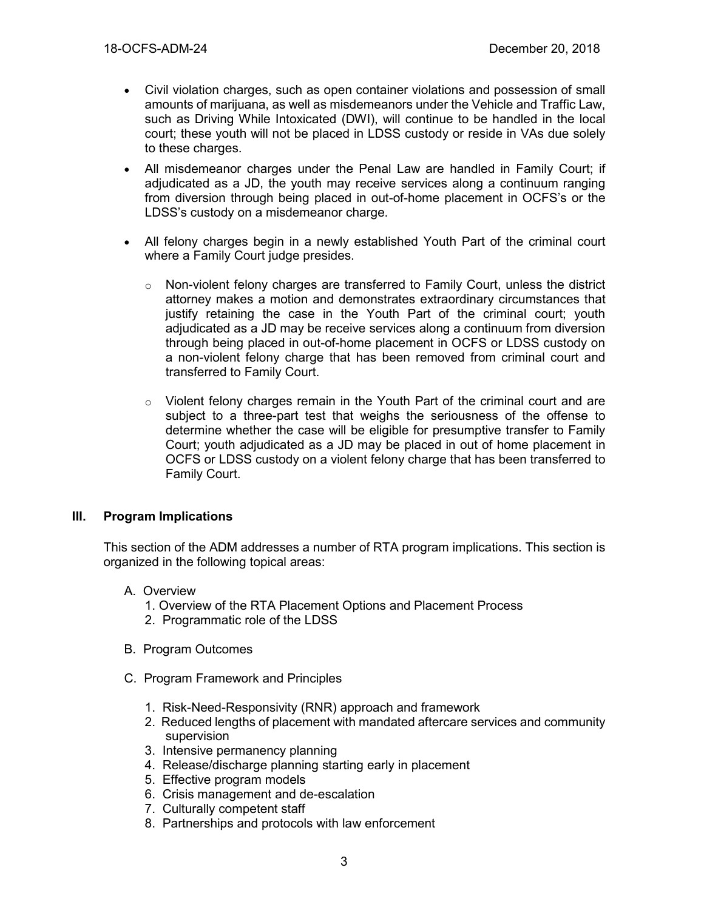- Civil violation charges, such as open container violations and possession of small amounts of marijuana, as well as misdemeanors under the Vehicle and Traffic Law, such as Driving While Intoxicated (DWI), will continue to be handled in the local court; these youth will not be placed in LDSS custody or reside in VAs due solely to these charges.
- All misdemeanor charges under the Penal Law are handled in Family Court; if adjudicated as a JD, the youth may receive services along a continuum ranging from diversion through being placed in out-of-home placement in OCFS's or the LDSS's custody on a misdemeanor charge.
- All felony charges begin in a newly established Youth Part of the criminal court where a Family Court judge presides.
	- $\circ$  Non-violent felony charges are transferred to Family Court, unless the district attorney makes a motion and demonstrates extraordinary circumstances that justify retaining the case in the Youth Part of the criminal court; youth adjudicated as a JD may be receive services along a continuum from diversion through being placed in out-of-home placement in OCFS or LDSS custody on a non-violent felony charge that has been removed from criminal court and transferred to Family Court.
	- $\circ$  Violent felony charges remain in the Youth Part of the criminal court and are subject to a three-part test that weighs the seriousness of the offense to determine whether the case will be eligible for presumptive transfer to Family Court; youth adjudicated as a JD may be placed in out of home placement in OCFS or LDSS custody on a violent felony charge that has been transferred to Family Court.

## **III. Program Implications**

This section of the ADM addresses a number of RTA program implications. This section is organized in the following topical areas:

- A. Overview
	- 1. Overview of the RTA Placement Options and Placement Process
	- 2. Programmatic role of the LDSS
- B. Program Outcomes
- C. Program Framework and Principles
	- 1. Risk-Need-Responsivity (RNR) approach and framework
	- 2. Reduced lengths of placement with mandated aftercare services and community supervision
	- 3. Intensive permanency planning
	- 4. Release/discharge planning starting early in placement
	- 5. Effective program models
	- 6. Crisis management and de-escalation
	- 7. Culturally competent staff
	- 8. Partnerships and protocols with law enforcement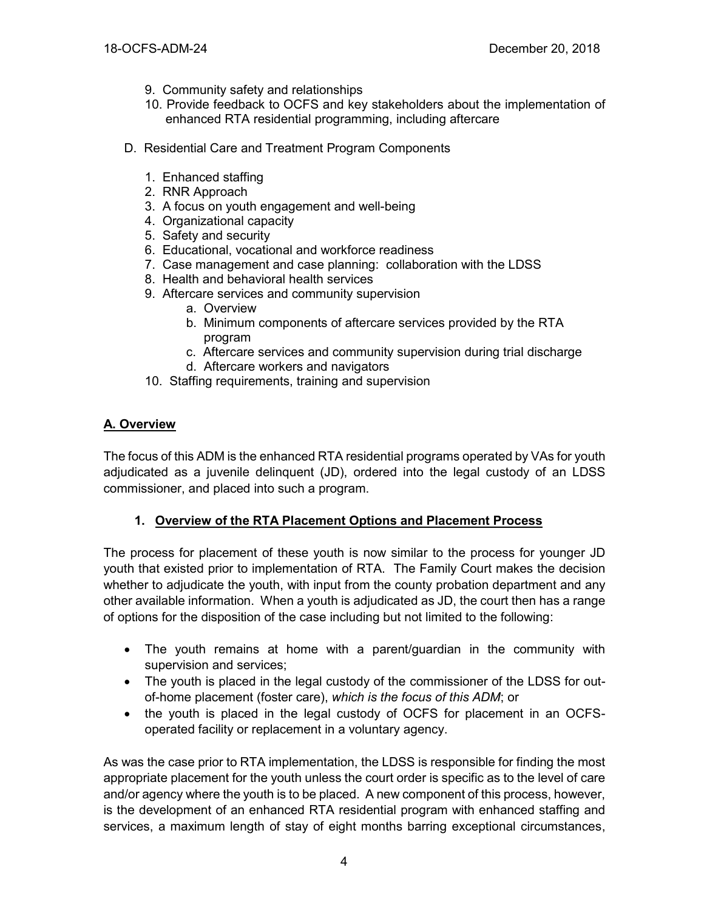- 9. Community safety and relationships
- 10. Provide feedback to OCFS and key stakeholders about the implementation of enhanced RTA residential programming, including aftercare
- D. Residential Care and Treatment Program Components
	- 1. Enhanced staffing
	- 2. RNR Approach
	- 3. A focus on youth engagement and well-being
	- 4. Organizational capacity
	- 5. Safety and security
	- 6. Educational, vocational and workforce readiness
	- 7. Case management and case planning: collaboration with the LDSS
	- 8. Health and behavioral health services
	- 9. Aftercare services and community supervision
		- a. Overview
		- b. Minimum components of aftercare services provided by the RTA program
		- c. Aftercare services and community supervision during trial discharge
		- d. Aftercare workers and navigators
	- 10. Staffing requirements, training and supervision

# **A. Overview**

The focus of this ADM is the enhanced RTA residential programs operated by VAs for youth adjudicated as a juvenile delinquent (JD), ordered into the legal custody of an LDSS commissioner, and placed into such a program.

# **1. Overview of the RTA Placement Options and Placement Process**

The process for placement of these youth is now similar to the process for younger JD youth that existed prior to implementation of RTA. The Family Court makes the decision whether to adjudicate the youth, with input from the county probation department and any other available information. When a youth is adjudicated as JD, the court then has a range of options for the disposition of the case including but not limited to the following:

- The youth remains at home with a parent/guardian in the community with supervision and services;
- The youth is placed in the legal custody of the commissioner of the LDSS for outof-home placement (foster care), *which is the focus of this ADM*; or
- the youth is placed in the legal custody of OCFS for placement in an OCFSoperated facility or replacement in a voluntary agency.

As was the case prior to RTA implementation, the LDSS is responsible for finding the most appropriate placement for the youth unless the court order is specific as to the level of care and/or agency where the youth is to be placed. A new component of this process, however, is the development of an enhanced RTA residential program with enhanced staffing and services, a maximum length of stay of eight months barring exceptional circumstances,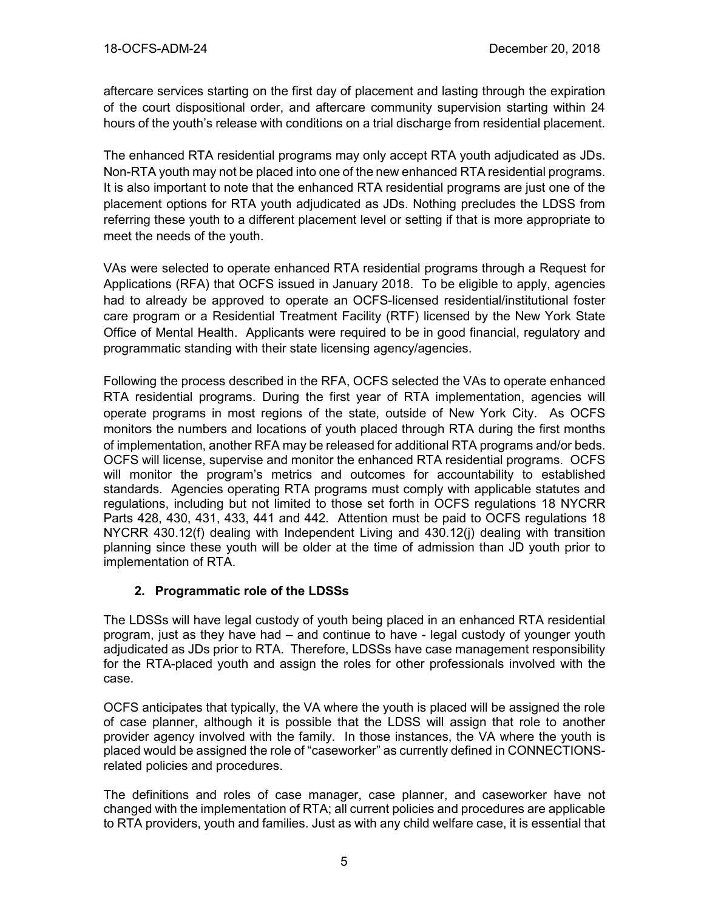aftercare services starting on the first day of placement and lasting through the expiration of the court dispositional order, and aftercare community supervision starting within 24 hours of the youth's release with conditions on a trial discharge from residential placement.

The enhanced RTA residential programs may only accept RTA youth adjudicated as JDs. Non-RTA youth may not be placed into one of the new enhanced RTA residential programs. It is also important to note that the enhanced RTA residential programs are just one of the placement options for RTA youth adjudicated as JDs. Nothing precludes the LDSS from referring these youth to a different placement level or setting if that is more appropriate to meet the needs of the youth.

VAs were selected to operate enhanced RTA residential programs through a Request for Applications (RFA) that OCFS issued in January 2018. To be eligible to apply, agencies had to already be approved to operate an OCFS-licensed residential/institutional foster care program or a Residential Treatment Facility (RTF) licensed by the New York State Office of Mental Health. Applicants were required to be in good financial, regulatory and programmatic standing with their state licensing agency/agencies.

Following the process described in the RFA, OCFS selected the VAs to operate enhanced RTA residential programs. During the first year of RTA implementation, agencies will operate programs in most regions of the state, outside of New York City. As OCFS monitors the numbers and locations of youth placed through RTA during the first months of implementation, another RFA may be released for additional RTA programs and/or beds. OCFS will license, supervise and monitor the enhanced RTA residential programs. OCFS will monitor the program's metrics and outcomes for accountability to established standards. Agencies operating RTA programs must comply with applicable statutes and regulations, including but not limited to those set forth in OCFS regulations 18 NYCRR Parts 428, 430, 431, 433, 441 and 442. Attention must be paid to OCFS regulations 18 NYCRR 430.12(f) dealing with Independent Living and 430.12(j) dealing with transition planning since these youth will be older at the time of admission than JD youth prior to implementation of RTA.

# **2. Programmatic role of the LDSSs**

The LDSSs will have legal custody of youth being placed in an enhanced RTA residential program, just as they have had – and continue to have - legal custody of younger youth adjudicated as JDs prior to RTA. Therefore, LDSSs have case management responsibility for the RTA-placed youth and assign the roles for other professionals involved with the case.

OCFS anticipates that typically, the VA where the youth is placed will be assigned the role of case planner, although it is possible that the LDSS will assign that role to another provider agency involved with the family. In those instances, the VA where the youth is placed would be assigned the role of "caseworker" as currently defined in CONNECTIONSrelated policies and procedures.

The definitions and roles of case manager, case planner, and caseworker have not changed with the implementation of RTA; all current policies and procedures are applicable to RTA providers, youth and families. Just as with any child welfare case, it is essential that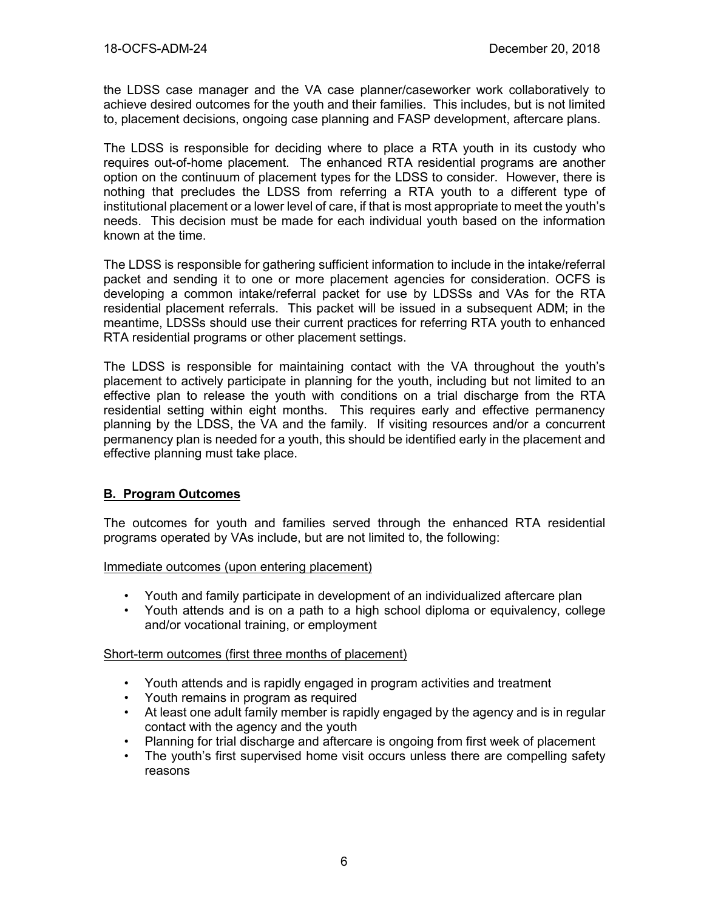the LDSS case manager and the VA case planner/caseworker work collaboratively to achieve desired outcomes for the youth and their families. This includes, but is not limited to, placement decisions, ongoing case planning and FASP development, aftercare plans.

The LDSS is responsible for deciding where to place a RTA youth in its custody who requires out-of-home placement. The enhanced RTA residential programs are another option on the continuum of placement types for the LDSS to consider. However, there is nothing that precludes the LDSS from referring a RTA youth to a different type of institutional placement or a lower level of care, if that is most appropriate to meet the youth's needs. This decision must be made for each individual youth based on the information known at the time.

The LDSS is responsible for gathering sufficient information to include in the intake/referral packet and sending it to one or more placement agencies for consideration. OCFS is developing a common intake/referral packet for use by LDSSs and VAs for the RTA residential placement referrals. This packet will be issued in a subsequent ADM; in the meantime, LDSSs should use their current practices for referring RTA youth to enhanced RTA residential programs or other placement settings.

The LDSS is responsible for maintaining contact with the VA throughout the youth's placement to actively participate in planning for the youth, including but not limited to an effective plan to release the youth with conditions on a trial discharge from the RTA residential setting within eight months. This requires early and effective permanency planning by the LDSS, the VA and the family. If visiting resources and/or a concurrent permanency plan is needed for a youth, this should be identified early in the placement and effective planning must take place.

# **B. Program Outcomes**

The outcomes for youth and families served through the enhanced RTA residential programs operated by VAs include, but are not limited to, the following:

Immediate outcomes (upon entering placement)

- Youth and family participate in development of an individualized aftercare plan
- Youth attends and is on a path to a high school diploma or equivalency, college and/or vocational training, or employment

## Short-term outcomes (first three months of placement)

- Youth attends and is rapidly engaged in program activities and treatment
- Youth remains in program as required
- At least one adult family member is rapidly engaged by the agency and is in regular contact with the agency and the youth
- Planning for trial discharge and aftercare is ongoing from first week of placement
- The youth's first supervised home visit occurs unless there are compelling safety reasons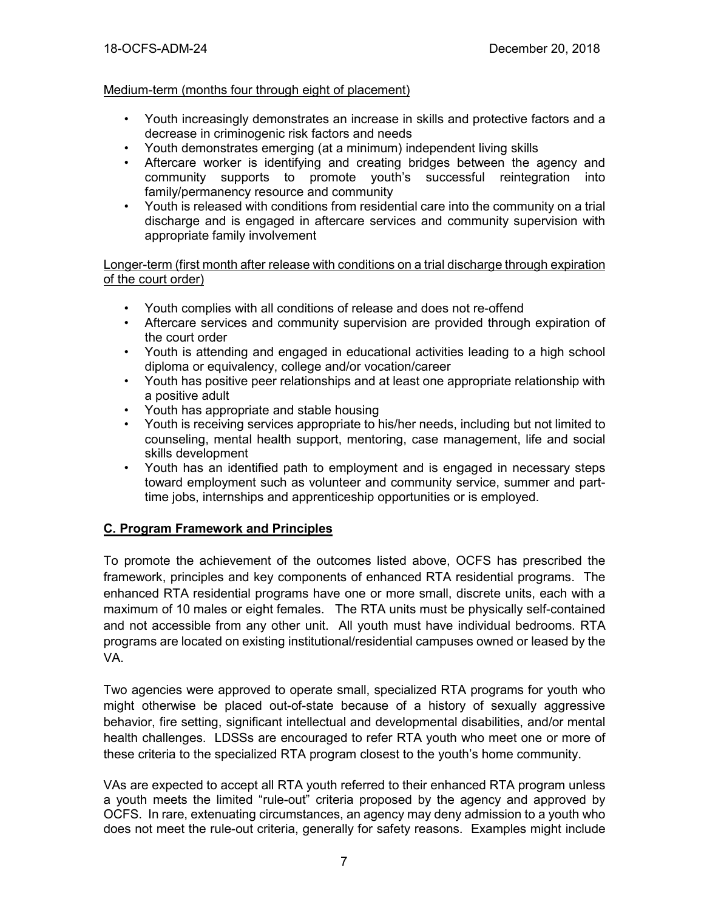## Medium-term (months four through eight of placement)

- Youth increasingly demonstrates an increase in skills and protective factors and a decrease in criminogenic risk factors and needs
- Youth demonstrates emerging (at a minimum) independent living skills
- Aftercare worker is identifying and creating bridges between the agency and community supports to promote youth's successful reintegration into family/permanency resource and community
- Youth is released with conditions from residential care into the community on a trial discharge and is engaged in aftercare services and community supervision with appropriate family involvement

Longer-term (first month after release with conditions on a trial discharge through expiration of the court order)

- Youth complies with all conditions of release and does not re-offend
- Aftercare services and community supervision are provided through expiration of the court order
- Youth is attending and engaged in educational activities leading to a high school diploma or equivalency, college and/or vocation/career
- Youth has positive peer relationships and at least one appropriate relationship with a positive adult
- Youth has appropriate and stable housing
- Youth is receiving services appropriate to his/her needs, including but not limited to counseling, mental health support, mentoring, case management, life and social skills development
- Youth has an identified path to employment and is engaged in necessary steps toward employment such as volunteer and community service, summer and parttime jobs, internships and apprenticeship opportunities or is employed.

## **C. Program Framework and Principles**

To promote the achievement of the outcomes listed above, OCFS has prescribed the framework, principles and key components of enhanced RTA residential programs. The enhanced RTA residential programs have one or more small, discrete units, each with a maximum of 10 males or eight females. The RTA units must be physically self-contained and not accessible from any other unit. All youth must have individual bedrooms. RTA programs are located on existing institutional/residential campuses owned or leased by the VA.

Two agencies were approved to operate small, specialized RTA programs for youth who might otherwise be placed out-of-state because of a history of sexually aggressive behavior, fire setting, significant intellectual and developmental disabilities, and/or mental health challenges. LDSSs are encouraged to refer RTA youth who meet one or more of these criteria to the specialized RTA program closest to the youth's home community.

VAs are expected to accept all RTA youth referred to their enhanced RTA program unless a youth meets the limited "rule-out" criteria proposed by the agency and approved by OCFS. In rare, extenuating circumstances, an agency may deny admission to a youth who does not meet the rule-out criteria, generally for safety reasons. Examples might include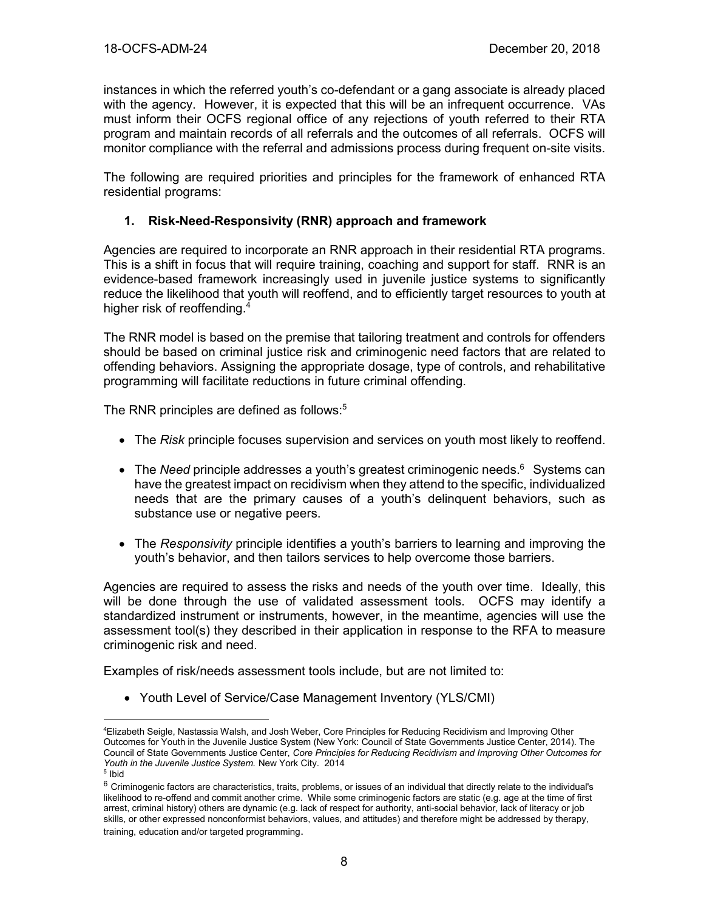instances in which the referred youth's co-defendant or a gang associate is already placed with the agency. However, it is expected that this will be an infrequent occurrence. VAs must inform their OCFS regional office of any rejections of youth referred to their RTA program and maintain records of all referrals and the outcomes of all referrals. OCFS will monitor compliance with the referral and admissions process during frequent on-site visits.

The following are required priorities and principles for the framework of enhanced RTA residential programs:

## **1. Risk-Need-Responsivity (RNR) approach and framework**

Agencies are required to incorporate an RNR approach in their residential RTA programs. This is a shift in focus that will require training, coaching and support for staff. RNR is an evidence-based framework increasingly used in juvenile justice systems to significantly reduce the likelihood that youth will reoffend, and to efficiently target resources to youth at higher risk of reoffending.<sup>4</sup>

The RNR model is based on the premise that tailoring treatment and controls for offenders should be based on criminal justice risk and criminogenic need factors that are related to offending behaviors. Assigning the appropriate dosage, type of controls, and rehabilitative programming will facilitate reductions in future criminal offending.

The RNR principles are defined as follows:<sup>5</sup>

- The *Risk* principle focuses supervision and services on youth most likely to reoffend.
- The Need principle addresses a youth's greatest criminogenic needs.<sup>6</sup> Systems can have the greatest impact on recidivism when they attend to the specific, individualized needs that are the primary causes of a youth's delinquent behaviors, such as substance use or negative peers.
- The *Responsivity* principle identifies a youth's barriers to learning and improving the youth's behavior, and then tailors services to help overcome those barriers.

Agencies are required to assess the risks and needs of the youth over time. Ideally, this will be done through the use of validated assessment tools. OCFS may identify a standardized instrument or instruments, however, in the meantime, agencies will use the assessment tool(s) they described in their application in response to the RFA to measure criminogenic risk and need.

Examples of risk/needs assessment tools include, but are not limited to:

• Youth Level of Service/Case Management Inventory (YLS/CMI)

 $\overline{a}$ 

<sup>4</sup>Elizabeth Seigle, Nastassia Walsh, and Josh Weber, Core Principles for Reducing Recidivism and Improving Other Outcomes for Youth in the Juvenile Justice System (New York: Council of State Governments Justice Center, 2014). The Council of State Governments Justice Center, *Core Principles for Reducing Recidivism and Improving Other Outcomes for Youth in the Juvenile Justice System.* New York City. 2014

<sup>5</sup> Ibid

 $6$  Criminogenic factors are characteristics, traits, problems, or issues of an individual that directly relate to the individual's likelihood to re-offend and commit another crime. While some criminogenic factors are static (e.g. age at the time of first arrest, criminal history) others are dynamic (e.g. lack of respect for authority, anti-social behavior, lack of literacy or job skills, or other expressed nonconformist behaviors, values, and attitudes) and therefore might be addressed by therapy, training, education and/or targeted programming.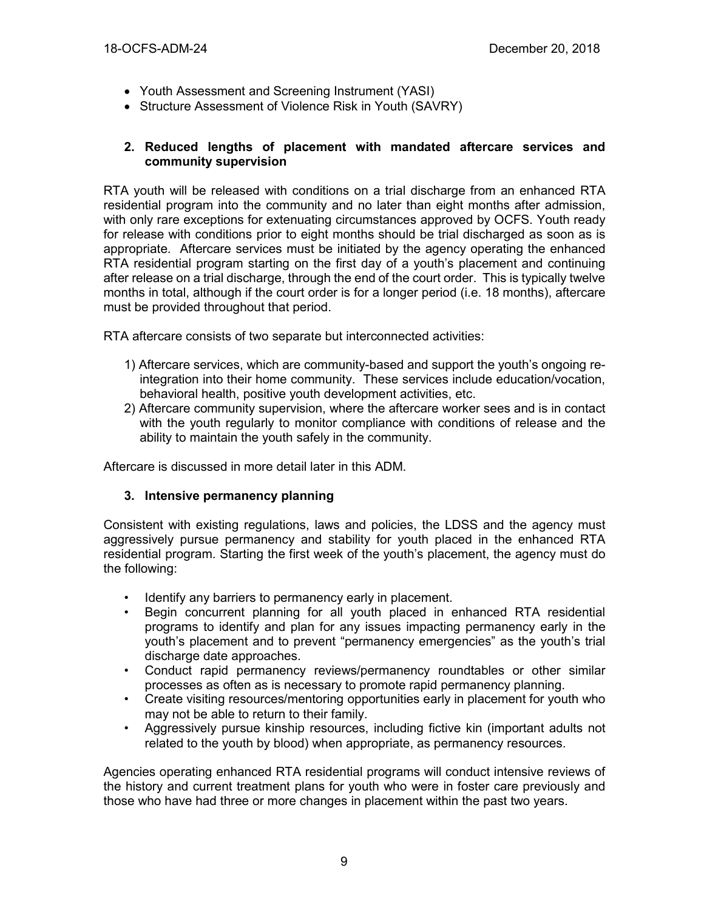- Youth Assessment and Screening Instrument (YASI)
- Structure Assessment of Violence Risk in Youth (SAVRY)

#### **2. Reduced lengths of placement with mandated aftercare services and community supervision**

RTA youth will be released with conditions on a trial discharge from an enhanced RTA residential program into the community and no later than eight months after admission, with only rare exceptions for extenuating circumstances approved by OCFS. Youth ready for release with conditions prior to eight months should be trial discharged as soon as is appropriate. Aftercare services must be initiated by the agency operating the enhanced RTA residential program starting on the first day of a youth's placement and continuing after release on a trial discharge, through the end of the court order. This is typically twelve months in total, although if the court order is for a longer period (i.e. 18 months), aftercare must be provided throughout that period.

RTA aftercare consists of two separate but interconnected activities:

- 1) Aftercare services, which are community-based and support the youth's ongoing reintegration into their home community. These services include education/vocation, behavioral health, positive youth development activities, etc.
- 2) Aftercare community supervision, where the aftercare worker sees and is in contact with the youth regularly to monitor compliance with conditions of release and the ability to maintain the youth safely in the community.

Aftercare is discussed in more detail later in this ADM.

## **3. Intensive permanency planning**

Consistent with existing regulations, laws and policies, the LDSS and the agency must aggressively pursue permanency and stability for youth placed in the enhanced RTA residential program. Starting the first week of the youth's placement, the agency must do the following:

- Identify any barriers to permanency early in placement.
- Begin concurrent planning for all youth placed in enhanced RTA residential programs to identify and plan for any issues impacting permanency early in the youth's placement and to prevent "permanency emergencies" as the youth's trial discharge date approaches.
- Conduct rapid permanency reviews/permanency roundtables or other similar processes as often as is necessary to promote rapid permanency planning.
- Create visiting resources/mentoring opportunities early in placement for youth who may not be able to return to their family.
- Aggressively pursue kinship resources, including fictive kin (important adults not related to the youth by blood) when appropriate, as permanency resources.

Agencies operating enhanced RTA residential programs will conduct intensive reviews of the history and current treatment plans for youth who were in foster care previously and those who have had three or more changes in placement within the past two years.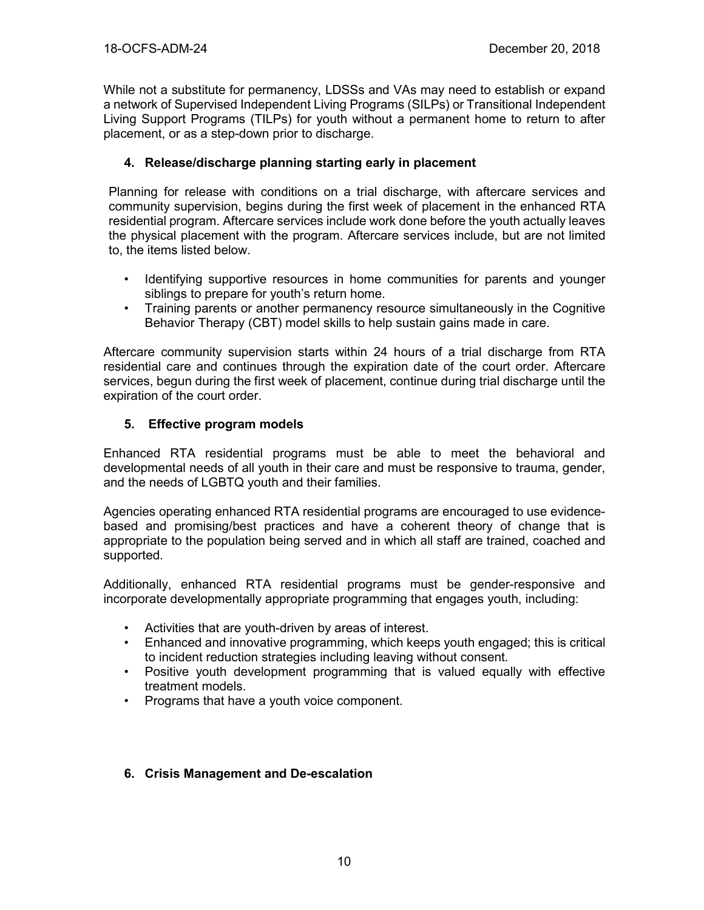While not a substitute for permanency, LDSSs and VAs may need to establish or expand a network of Supervised Independent Living Programs (SILPs) or Transitional Independent Living Support Programs (TILPs) for youth without a permanent home to return to after placement, or as a step-down prior to discharge.

## **4. Release/discharge planning starting early in placement**

Planning for release with conditions on a trial discharge, with aftercare services and community supervision, begins during the first week of placement in the enhanced RTA residential program. Aftercare services include work done before the youth actually leaves the physical placement with the program. Aftercare services include, but are not limited to, the items listed below.

- Identifying supportive resources in home communities for parents and younger siblings to prepare for youth's return home.
- Training parents or another permanency resource simultaneously in the Cognitive Behavior Therapy (CBT) model skills to help sustain gains made in care.

Aftercare community supervision starts within 24 hours of a trial discharge from RTA residential care and continues through the expiration date of the court order. Aftercare services, begun during the first week of placement, continue during trial discharge until the expiration of the court order.

## **5. Effective program models**

Enhanced RTA residential programs must be able to meet the behavioral and developmental needs of all youth in their care and must be responsive to trauma, gender, and the needs of LGBTQ youth and their families.

Agencies operating enhanced RTA residential programs are encouraged to use evidencebased and promising/best practices and have a coherent theory of change that is appropriate to the population being served and in which all staff are trained, coached and supported.

Additionally, enhanced RTA residential programs must be gender-responsive and incorporate developmentally appropriate programming that engages youth, including:

- Activities that are youth-driven by areas of interest.
- Enhanced and innovative programming, which keeps youth engaged; this is critical to incident reduction strategies including leaving without consent.
- Positive youth development programming that is valued equally with effective treatment models.
- Programs that have a youth voice component.

## **6. Crisis Management and De-escalation**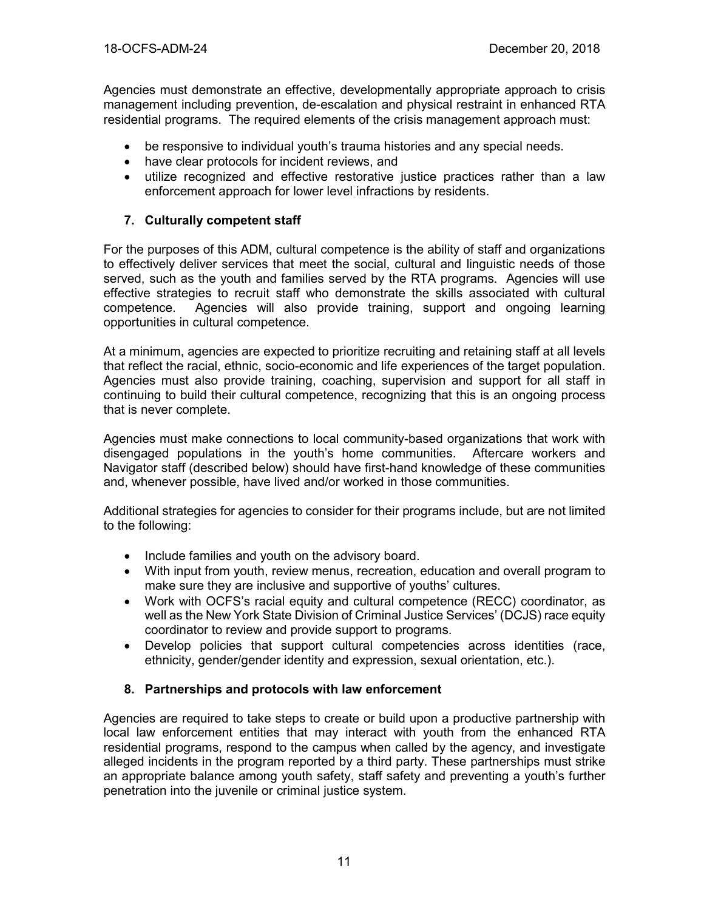Agencies must demonstrate an effective, developmentally appropriate approach to crisis management including prevention, de-escalation and physical restraint in enhanced RTA residential programs. The required elements of the crisis management approach must:

- be responsive to individual youth's trauma histories and any special needs.
- have clear protocols for incident reviews, and
- utilize recognized and effective restorative justice practices rather than a law enforcement approach for lower level infractions by residents.

## **7. Culturally competent staff**

For the purposes of this ADM, cultural competence is the ability of staff and organizations to effectively deliver services that meet the social, cultural and linguistic needs of those served, such as the youth and families served by the RTA programs. Agencies will use effective strategies to recruit staff who demonstrate the skills associated with cultural competence. Agencies will also provide training, support and ongoing learning opportunities in cultural competence.

At a minimum, agencies are expected to prioritize recruiting and retaining staff at all levels that reflect the racial, ethnic, socio-economic and life experiences of the target population. Agencies must also provide training, coaching, supervision and support for all staff in continuing to build their cultural competence, recognizing that this is an ongoing process that is never complete.

Agencies must make connections to local community-based organizations that work with disengaged populations in the youth's home communities. Aftercare workers and Navigator staff (described below) should have first-hand knowledge of these communities and, whenever possible, have lived and/or worked in those communities.

Additional strategies for agencies to consider for their programs include, but are not limited to the following:

- Include families and youth on the advisory board.
- With input from youth, review menus, recreation, education and overall program to make sure they are inclusive and supportive of youths' cultures.
- Work with OCFS's racial equity and cultural competence (RECC) coordinator, as well as the New York State Division of Criminal Justice Services' (DCJS) race equity coordinator to review and provide support to programs.
- Develop policies that support cultural competencies across identities (race, ethnicity, gender/gender identity and expression, sexual orientation, etc.).

# **8. Partnerships and protocols with law enforcement**

Agencies are required to take steps to create or build upon a productive partnership with local law enforcement entities that may interact with youth from the enhanced RTA residential programs, respond to the campus when called by the agency, and investigate alleged incidents in the program reported by a third party. These partnerships must strike an appropriate balance among youth safety, staff safety and preventing a youth's further penetration into the juvenile or criminal justice system.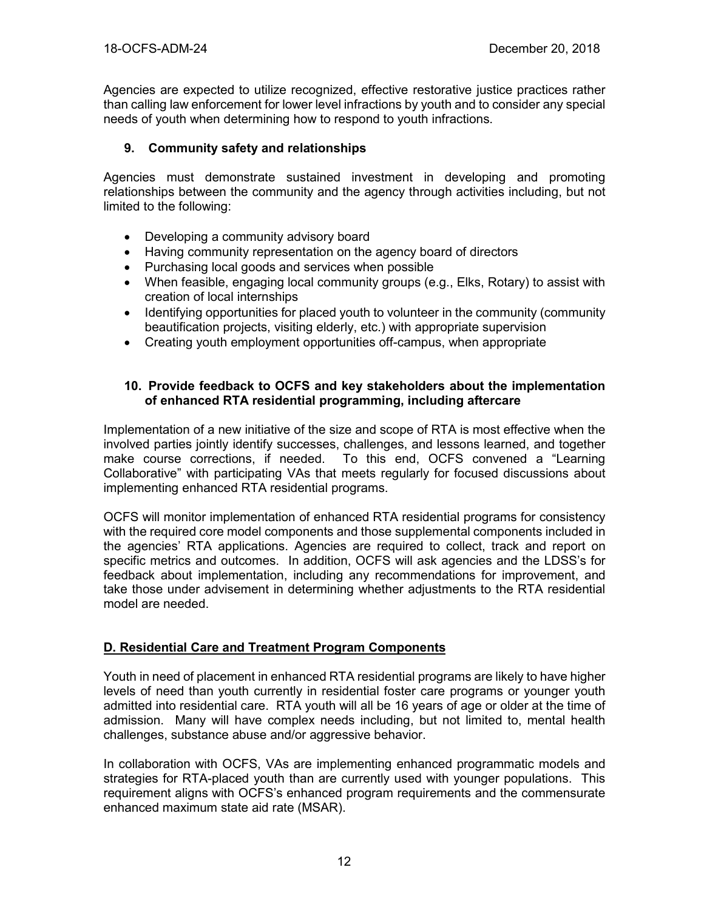Agencies are expected to utilize recognized, effective restorative justice practices rather than calling law enforcement for lower level infractions by youth and to consider any special needs of youth when determining how to respond to youth infractions.

## **9. Community safety and relationships**

Agencies must demonstrate sustained investment in developing and promoting relationships between the community and the agency through activities including, but not limited to the following:

- Developing a community advisory board
- Having community representation on the agency board of directors
- Purchasing local goods and services when possible
- When feasible, engaging local community groups (e.g., Elks, Rotary) to assist with creation of local internships
- Identifying opportunities for placed youth to volunteer in the community (community beautification projects, visiting elderly, etc.) with appropriate supervision
- Creating youth employment opportunities off-campus, when appropriate

## **10. Provide feedback to OCFS and key stakeholders about the implementation of enhanced RTA residential programming, including aftercare**

Implementation of a new initiative of the size and scope of RTA is most effective when the involved parties jointly identify successes, challenges, and lessons learned, and together make course corrections, if needed. To this end, OCFS convened a "Learning Collaborative" with participating VAs that meets regularly for focused discussions about implementing enhanced RTA residential programs.

OCFS will monitor implementation of enhanced RTA residential programs for consistency with the required core model components and those supplemental components included in the agencies' RTA applications. Agencies are required to collect, track and report on specific metrics and outcomes. In addition, OCFS will ask agencies and the LDSS's for feedback about implementation, including any recommendations for improvement, and take those under advisement in determining whether adjustments to the RTA residential model are needed.

## **D. Residential Care and Treatment Program Components**

Youth in need of placement in enhanced RTA residential programs are likely to have higher levels of need than youth currently in residential foster care programs or younger youth admitted into residential care. RTA youth will all be 16 years of age or older at the time of admission. Many will have complex needs including, but not limited to, mental health challenges, substance abuse and/or aggressive behavior.

In collaboration with OCFS, VAs are implementing enhanced programmatic models and strategies for RTA-placed youth than are currently used with younger populations. This requirement aligns with OCFS's enhanced program requirements and the commensurate enhanced maximum state aid rate (MSAR).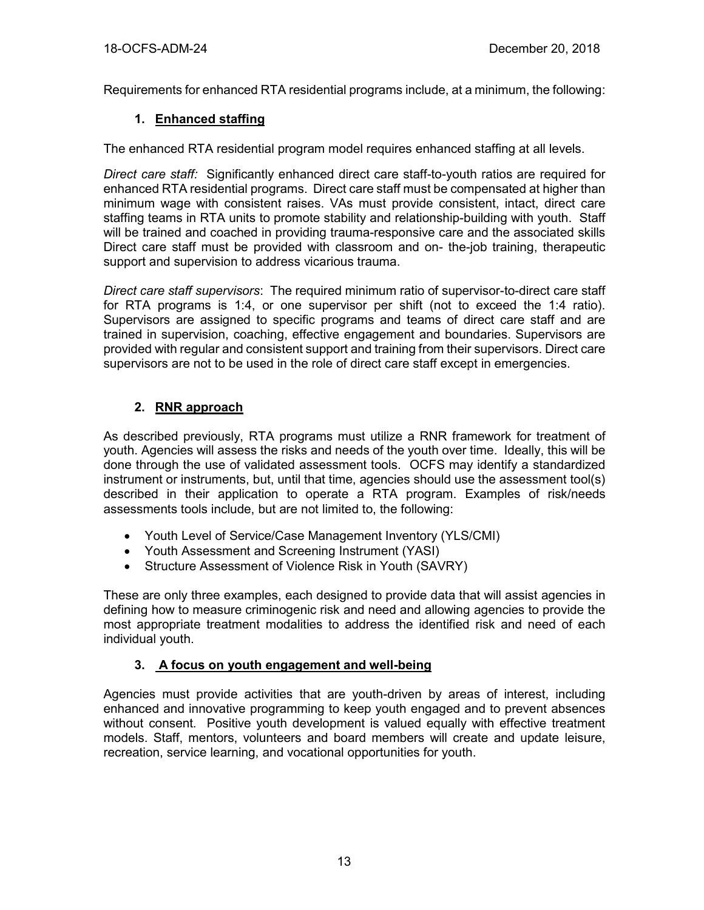Requirements for enhanced RTA residential programs include, at a minimum, the following:

# **1. Enhanced staffing**

The enhanced RTA residential program model requires enhanced staffing at all levels.

*Direct care staff:* Significantly enhanced direct care staff-to-youth ratios are required for enhanced RTA residential programs. Direct care staff must be compensated at higher than minimum wage with consistent raises. VAs must provide consistent, intact, direct care staffing teams in RTA units to promote stability and relationship-building with youth. Staff will be trained and coached in providing trauma-responsive care and the associated skills Direct care staff must be provided with classroom and on- the-job training, therapeutic support and supervision to address vicarious trauma.

*Direct care staff supervisors*: The required minimum ratio of supervisor-to-direct care staff for RTA programs is 1:4, or one supervisor per shift (not to exceed the 1:4 ratio). Supervisors are assigned to specific programs and teams of direct care staff and are trained in supervision, coaching, effective engagement and boundaries. Supervisors are provided with regular and consistent support and training from their supervisors. Direct care supervisors are not to be used in the role of direct care staff except in emergencies.

# **2. RNR approach**

As described previously, RTA programs must utilize a RNR framework for treatment of youth. Agencies will assess the risks and needs of the youth over time. Ideally, this will be done through the use of validated assessment tools. OCFS may identify a standardized instrument or instruments, but, until that time, agencies should use the assessment tool(s) described in their application to operate a RTA program. Examples of risk/needs assessments tools include, but are not limited to, the following:

- Youth Level of Service/Case Management Inventory (YLS/CMI)
- Youth Assessment and Screening Instrument (YASI)
- Structure Assessment of Violence Risk in Youth (SAVRY)

These are only three examples, each designed to provide data that will assist agencies in defining how to measure criminogenic risk and need and allowing agencies to provide the most appropriate treatment modalities to address the identified risk and need of each individual youth.

# **3. A focus on youth engagement and well-being**

Agencies must provide activities that are youth-driven by areas of interest, including enhanced and innovative programming to keep youth engaged and to prevent absences without consent. Positive youth development is valued equally with effective treatment models. Staff, mentors, volunteers and board members will create and update leisure, recreation, service learning, and vocational opportunities for youth.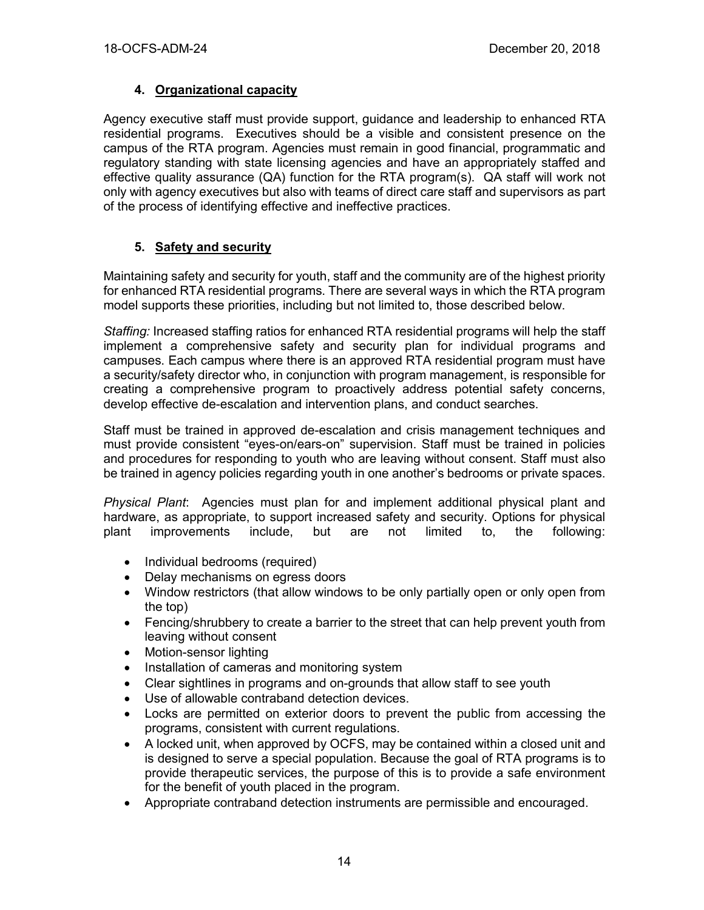## **4. Organizational capacity**

Agency executive staff must provide support, guidance and leadership to enhanced RTA residential programs. Executives should be a visible and consistent presence on the campus of the RTA program. Agencies must remain in good financial, programmatic and regulatory standing with state licensing agencies and have an appropriately staffed and effective quality assurance (QA) function for the RTA program(s). QA staff will work not only with agency executives but also with teams of direct care staff and supervisors as part of the process of identifying effective and ineffective practices.

# **5. Safety and security**

Maintaining safety and security for youth, staff and the community are of the highest priority for enhanced RTA residential programs. There are several ways in which the RTA program model supports these priorities, including but not limited to, those described below.

*Staffing:* Increased staffing ratios for enhanced RTA residential programs will help the staff implement a comprehensive safety and security plan for individual programs and campuses. Each campus where there is an approved RTA residential program must have a security/safety director who, in conjunction with program management, is responsible for creating a comprehensive program to proactively address potential safety concerns, develop effective de-escalation and intervention plans, and conduct searches.

Staff must be trained in approved de-escalation and crisis management techniques and must provide consistent "eyes-on/ears-on" supervision. Staff must be trained in policies and procedures for responding to youth who are leaving without consent. Staff must also be trained in agency policies regarding youth in one another's bedrooms or private spaces.

*Physical Plant*: Agencies must plan for and implement additional physical plant and hardware, as appropriate, to support increased safety and security. Options for physical plant improvements include, but are not limited to, the following:

- Individual bedrooms (required)
- Delay mechanisms on egress doors
- Window restrictors (that allow windows to be only partially open or only open from the top)
- Fencing/shrubbery to create a barrier to the street that can help prevent youth from leaving without consent
- Motion-sensor lighting
- Installation of cameras and monitoring system
- Clear sightlines in programs and on-grounds that allow staff to see youth
- Use of allowable contraband detection devices.
- Locks are permitted on exterior doors to prevent the public from accessing the programs, consistent with current regulations.
- A locked unit, when approved by OCFS, may be contained within a closed unit and is designed to serve a special population. Because the goal of RTA programs is to provide therapeutic services, the purpose of this is to provide a safe environment for the benefit of youth placed in the program.
- Appropriate contraband detection instruments are permissible and encouraged.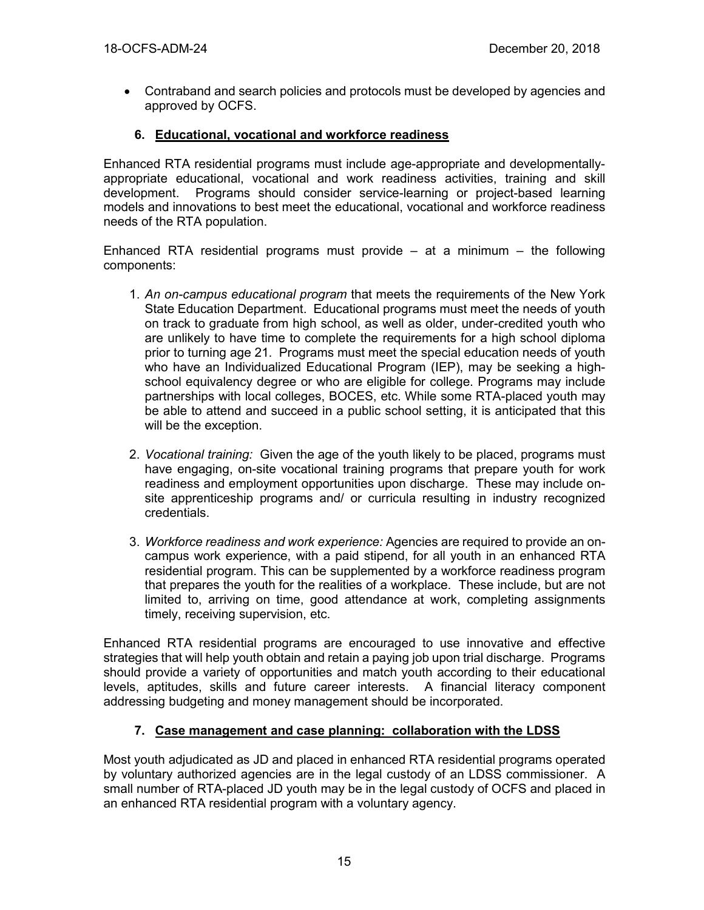• Contraband and search policies and protocols must be developed by agencies and approved by OCFS.

## **6. Educational, vocational and workforce readiness**

Enhanced RTA residential programs must include age-appropriate and developmentallyappropriate educational, vocational and work readiness activities, training and skill development. Programs should consider service-learning or project-based learning models and innovations to best meet the educational, vocational and workforce readiness needs of the RTA population.

Enhanced RTA residential programs must provide  $-$  at a minimum  $-$  the following components:

- 1. *An on-campus educational program* that meets the requirements of the New York State Education Department. Educational programs must meet the needs of youth on track to graduate from high school, as well as older, under-credited youth who are unlikely to have time to complete the requirements for a high school diploma prior to turning age 21. Programs must meet the special education needs of youth who have an Individualized Educational Program (IEP), may be seeking a highschool equivalency degree or who are eligible for college. Programs may include partnerships with local colleges, BOCES, etc. While some RTA-placed youth may be able to attend and succeed in a public school setting, it is anticipated that this will be the exception.
- 2. *Vocational training:* Given the age of the youth likely to be placed, programs must have engaging, on-site vocational training programs that prepare youth for work readiness and employment opportunities upon discharge. These may include onsite apprenticeship programs and/ or curricula resulting in industry recognized credentials.
- 3. *Workforce readiness and work experience:* Agencies are required to provide an oncampus work experience, with a paid stipend, for all youth in an enhanced RTA residential program. This can be supplemented by a workforce readiness program that prepares the youth for the realities of a workplace. These include, but are not limited to, arriving on time, good attendance at work, completing assignments timely, receiving supervision, etc.

Enhanced RTA residential programs are encouraged to use innovative and effective strategies that will help youth obtain and retain a paying job upon trial discharge. Programs should provide a variety of opportunities and match youth according to their educational levels, aptitudes, skills and future career interests. A financial literacy component addressing budgeting and money management should be incorporated.

## **7. Case management and case planning: collaboration with the LDSS**

Most youth adjudicated as JD and placed in enhanced RTA residential programs operated by voluntary authorized agencies are in the legal custody of an LDSS commissioner. A small number of RTA-placed JD youth may be in the legal custody of OCFS and placed in an enhanced RTA residential program with a voluntary agency.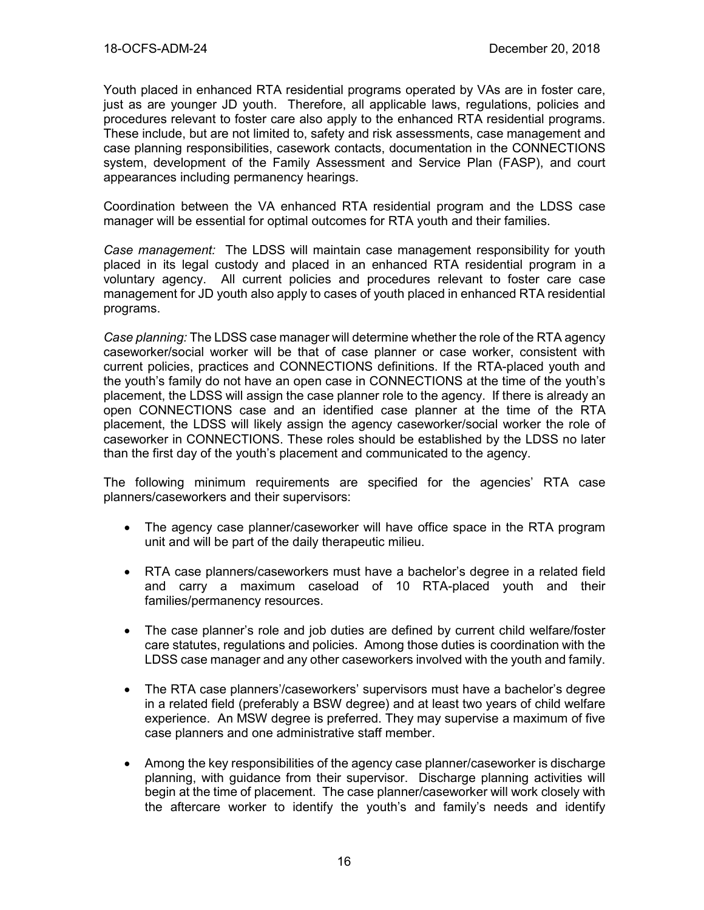Youth placed in enhanced RTA residential programs operated by VAs are in foster care, just as are younger JD youth. Therefore, all applicable laws, regulations, policies and procedures relevant to foster care also apply to the enhanced RTA residential programs. These include, but are not limited to, safety and risk assessments, case management and case planning responsibilities, casework contacts, documentation in the CONNECTIONS system, development of the Family Assessment and Service Plan (FASP), and court appearances including permanency hearings.

Coordination between the VA enhanced RTA residential program and the LDSS case manager will be essential for optimal outcomes for RTA youth and their families.

*Case management:* The LDSS will maintain case management responsibility for youth placed in its legal custody and placed in an enhanced RTA residential program in a voluntary agency. All current policies and procedures relevant to foster care case management for JD youth also apply to cases of youth placed in enhanced RTA residential programs.

*Case planning:* The LDSS case manager will determine whether the role of the RTA agency caseworker/social worker will be that of case planner or case worker, consistent with current policies, practices and CONNECTIONS definitions. If the RTA-placed youth and the youth's family do not have an open case in CONNECTIONS at the time of the youth's placement, the LDSS will assign the case planner role to the agency. If there is already an open CONNECTIONS case and an identified case planner at the time of the RTA placement, the LDSS will likely assign the agency caseworker/social worker the role of caseworker in CONNECTIONS. These roles should be established by the LDSS no later than the first day of the youth's placement and communicated to the agency.

The following minimum requirements are specified for the agencies' RTA case planners/caseworkers and their supervisors:

- The agency case planner/caseworker will have office space in the RTA program unit and will be part of the daily therapeutic milieu.
- RTA case planners/caseworkers must have a bachelor's degree in a related field and carry a maximum caseload of 10 RTA-placed youth and their families/permanency resources.
- The case planner's role and job duties are defined by current child welfare/foster care statutes, regulations and policies. Among those duties is coordination with the LDSS case manager and any other caseworkers involved with the youth and family.
- The RTA case planners'/caseworkers' supervisors must have a bachelor's degree in a related field (preferably a BSW degree) and at least two years of child welfare experience. An MSW degree is preferred. They may supervise a maximum of five case planners and one administrative staff member.
- Among the key responsibilities of the agency case planner/caseworker is discharge planning, with guidance from their supervisor. Discharge planning activities will begin at the time of placement. The case planner/caseworker will work closely with the aftercare worker to identify the youth's and family's needs and identify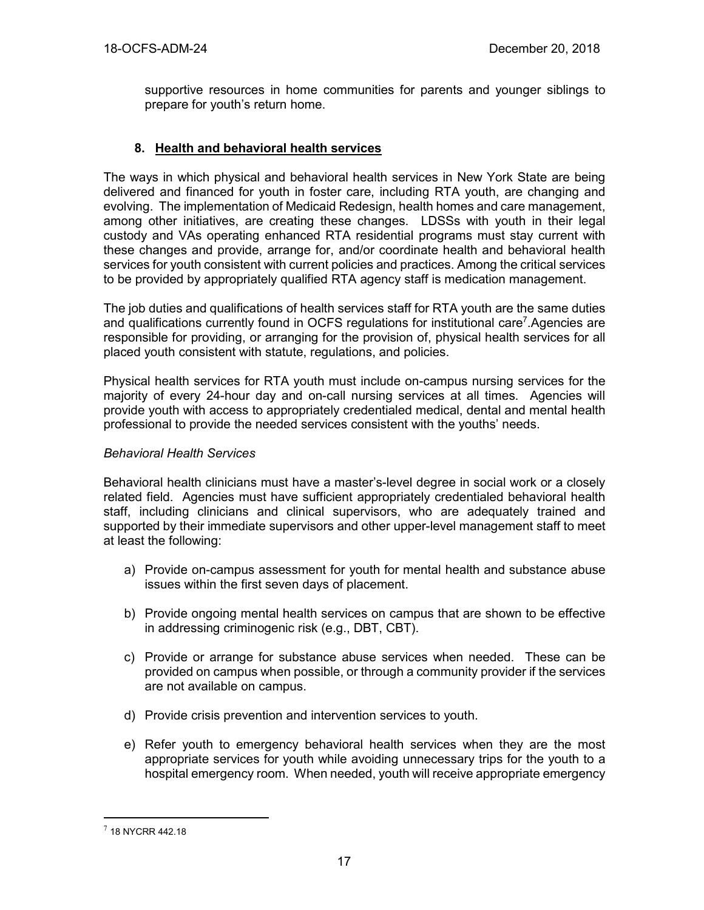supportive resources in home communities for parents and younger siblings to prepare for youth's return home.

## **8. Health and behavioral health services**

The ways in which physical and behavioral health services in New York State are being delivered and financed for youth in foster care, including RTA youth, are changing and evolving. The implementation of Medicaid Redesign, health homes and care management, among other initiatives, are creating these changes. LDSSs with youth in their legal custody and VAs operating enhanced RTA residential programs must stay current with these changes and provide, arrange for, and/or coordinate health and behavioral health services for youth consistent with current policies and practices. Among the critical services to be provided by appropriately qualified RTA agency staff is medication management.

The job duties and qualifications of health services staff for RTA youth are the same duties and qualifications currently found in OCFS regulations for institutional care<sup>7</sup>.Agencies are responsible for providing, or arranging for the provision of, physical health services for all placed youth consistent with statute, regulations, and policies.

Physical health services for RTA youth must include on-campus nursing services for the majority of every 24-hour day and on-call nursing services at all times. Agencies will provide youth with access to appropriately credentialed medical, dental and mental health professional to provide the needed services consistent with the youths' needs.

## *Behavioral Health Services*

Behavioral health clinicians must have a master's-level degree in social work or a closely related field. Agencies must have sufficient appropriately credentialed behavioral health staff, including clinicians and clinical supervisors, who are adequately trained and supported by their immediate supervisors and other upper-level management staff to meet at least the following:

- a) Provide on-campus assessment for youth for mental health and substance abuse issues within the first seven days of placement.
- b) Provide ongoing mental health services on campus that are shown to be effective in addressing criminogenic risk (e.g., DBT, CBT).
- c) Provide or arrange for substance abuse services when needed. These can be provided on campus when possible, or through a community provider if the services are not available on campus.
- d) Provide crisis prevention and intervention services to youth.
- e) Refer youth to emergency behavioral health services when they are the most appropriate services for youth while avoiding unnecessary trips for the youth to a hospital emergency room. When needed, youth will receive appropriate emergency

 $\overline{a}$ 

 $7$  18 NYCRR 442.18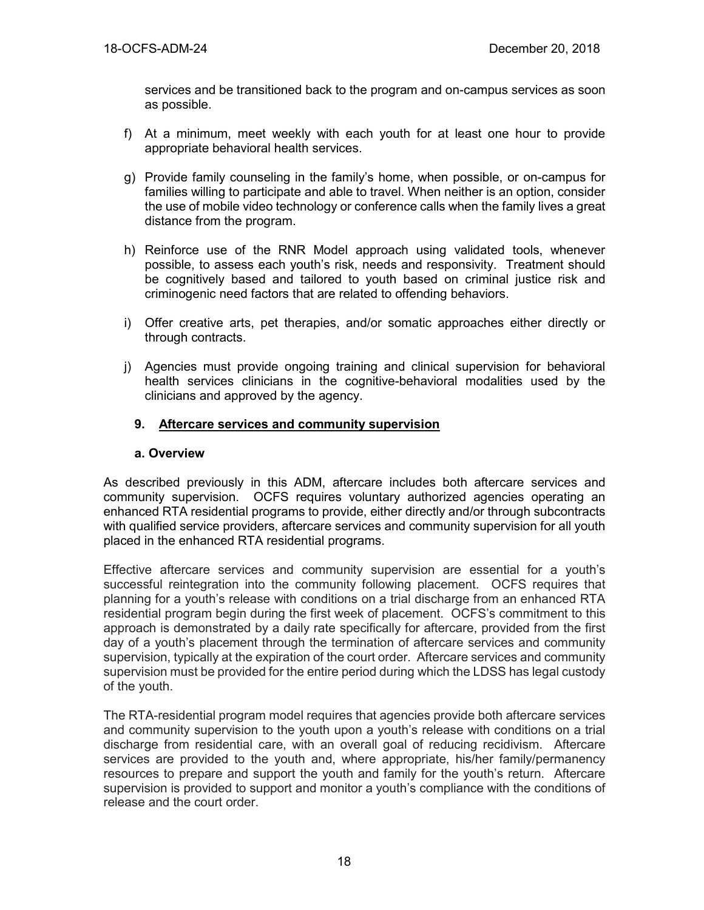services and be transitioned back to the program and on-campus services as soon as possible.

- f) At a minimum, meet weekly with each youth for at least one hour to provide appropriate behavioral health services.
- g) Provide family counseling in the family's home, when possible, or on-campus for families willing to participate and able to travel. When neither is an option, consider the use of mobile video technology or conference calls when the family lives a great distance from the program.
- h) Reinforce use of the RNR Model approach using validated tools, whenever possible, to assess each youth's risk, needs and responsivity. Treatment should be cognitively based and tailored to youth based on criminal justice risk and criminogenic need factors that are related to offending behaviors.
- i) Offer creative arts, pet therapies, and/or somatic approaches either directly or through contracts.
- j) Agencies must provide ongoing training and clinical supervision for behavioral health services clinicians in the cognitive-behavioral modalities used by the clinicians and approved by the agency.

## **9. Aftercare services and community supervision**

## **a. Overview**

As described previously in this ADM, aftercare includes both aftercare services and community supervision. OCFS requires voluntary authorized agencies operating an enhanced RTA residential programs to provide, either directly and/or through subcontracts with qualified service providers, aftercare services and community supervision for all youth placed in the enhanced RTA residential programs.

Effective aftercare services and community supervision are essential for a youth's successful reintegration into the community following placement. OCFS requires that planning for a youth's release with conditions on a trial discharge from an enhanced RTA residential program begin during the first week of placement. OCFS's commitment to this approach is demonstrated by a daily rate specifically for aftercare, provided from the first day of a youth's placement through the termination of aftercare services and community supervision, typically at the expiration of the court order. Aftercare services and community supervision must be provided for the entire period during which the LDSS has legal custody of the youth.

The RTA-residential program model requires that agencies provide both aftercare services and community supervision to the youth upon a youth's release with conditions on a trial discharge from residential care, with an overall goal of reducing recidivism. Aftercare services are provided to the youth and, where appropriate, his/her family/permanency resources to prepare and support the youth and family for the youth's return. Aftercare supervision is provided to support and monitor a youth's compliance with the conditions of release and the court order.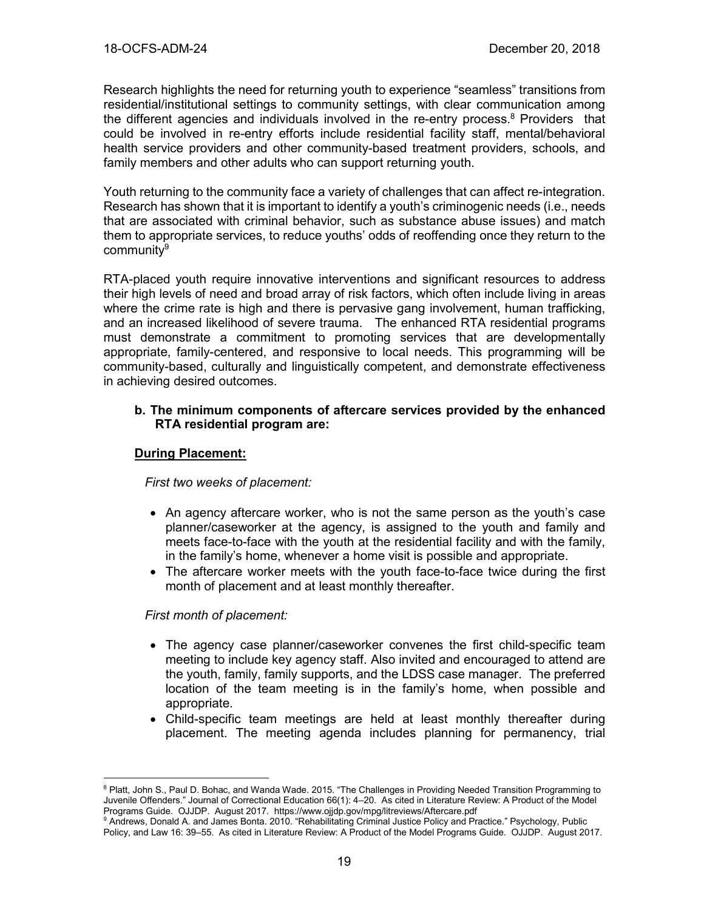Research highlights the need for returning youth to experience "seamless" transitions from residential/institutional settings to community settings, with clear communication among the different agencies and individuals involved in the re-entry process.<sup>8</sup> Providers that could be involved in re-entry efforts include residential facility staff, mental/behavioral health service providers and other community-based treatment providers, schools, and family members and other adults who can support returning youth.

Youth returning to the community face a variety of challenges that can affect re-integration. Research has shown that it is important to identify a youth's criminogenic needs (i.e., needs that are associated with criminal behavior, such as substance abuse issues) and match them to appropriate services, to reduce youths' odds of reoffending once they return to the communitv<sup>9</sup>

RTA-placed youth require innovative interventions and significant resources to address their high levels of need and broad array of risk factors, which often include living in areas where the crime rate is high and there is pervasive gang involvement, human trafficking, and an increased likelihood of severe trauma. The enhanced RTA residential programs must demonstrate a commitment to promoting services that are developmentally appropriate, family-centered, and responsive to local needs. This programming will be community-based, culturally and linguistically competent, and demonstrate effectiveness in achieving desired outcomes.

#### **b. The minimum components of aftercare services provided by the enhanced RTA residential program are:**

#### **During Placement:**

*First two weeks of placement:*

- An agency aftercare worker, who is not the same person as the youth's case planner/caseworker at the agency, is assigned to the youth and family and meets face-to-face with the youth at the residential facility and with the family, in the family's home, whenever a home visit is possible and appropriate.
- The aftercare worker meets with the youth face-to-face twice during the first month of placement and at least monthly thereafter.

#### *First month of placement:*

 $\overline{a}$ 

- The agency case planner/caseworker convenes the first child-specific team meeting to include key agency staff. Also invited and encouraged to attend are the youth, family, family supports, and the LDSS case manager. The preferred location of the team meeting is in the family's home, when possible and appropriate.
- Child-specific team meetings are held at least monthly thereafter during placement. The meeting agenda includes planning for permanency, trial

<sup>&</sup>lt;sup>8</sup> Platt, John S., Paul D. Bohac, and Wanda Wade. 2015. "The Challenges in Providing Needed Transition Programming to Juvenile Offenders." Journal of Correctional Education 66(1): 4–20. As cited in Literature Review: A Product of the Model Programs Guide. OJJDP. August 2017. https://www.ojjdp.gov/mpg/litreviews/Aftercare.pdf

<sup>&</sup>lt;sup>9</sup> Andrews, Donald A. and James Bonta. 2010. "Rehabilitating Criminal Justice Policy and Practice." Psychology, Public Policy, and Law 16: 39–55. As cited in Literature Review: A Product of the Model Programs Guide. OJJDP. August 2017.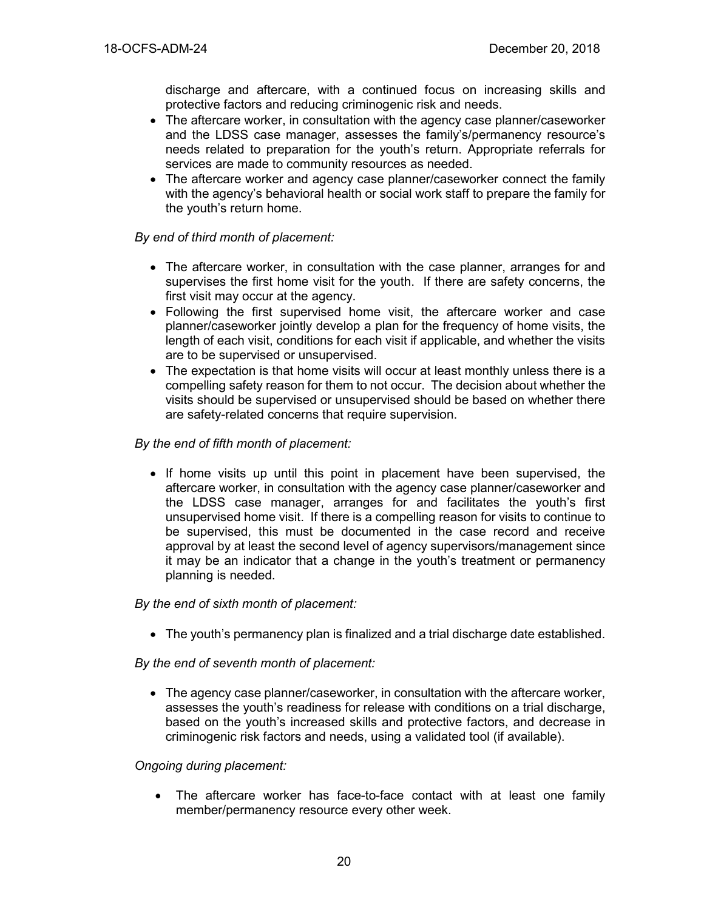discharge and aftercare, with a continued focus on increasing skills and protective factors and reducing criminogenic risk and needs.

- The aftercare worker, in consultation with the agency case planner/caseworker and the LDSS case manager, assesses the family's/permanency resource's needs related to preparation for the youth's return. Appropriate referrals for services are made to community resources as needed.
- The aftercare worker and agency case planner/caseworker connect the family with the agency's behavioral health or social work staff to prepare the family for the youth's return home.

## *By end of third month of placement:*

- The aftercare worker, in consultation with the case planner, arranges for and supervises the first home visit for the youth. If there are safety concerns, the first visit may occur at the agency.
- Following the first supervised home visit, the aftercare worker and case planner/caseworker jointly develop a plan for the frequency of home visits, the length of each visit, conditions for each visit if applicable, and whether the visits are to be supervised or unsupervised.
- The expectation is that home visits will occur at least monthly unless there is a compelling safety reason for them to not occur. The decision about whether the visits should be supervised or unsupervised should be based on whether there are safety-related concerns that require supervision.

## *By the end of fifth month of placement:*

• If home visits up until this point in placement have been supervised, the aftercare worker, in consultation with the agency case planner/caseworker and the LDSS case manager, arranges for and facilitates the youth's first unsupervised home visit. If there is a compelling reason for visits to continue to be supervised, this must be documented in the case record and receive approval by at least the second level of agency supervisors/management since it may be an indicator that a change in the youth's treatment or permanency planning is needed.

## *By the end of sixth month of placement:*

• The youth's permanency plan is finalized and a trial discharge date established.

*By the end of seventh month of placement:*

• The agency case planner/caseworker, in consultation with the aftercare worker, assesses the youth's readiness for release with conditions on a trial discharge, based on the youth's increased skills and protective factors, and decrease in criminogenic risk factors and needs, using a validated tool (if available).

## *Ongoing during placement:*

• The aftercare worker has face-to-face contact with at least one family member/permanency resource every other week.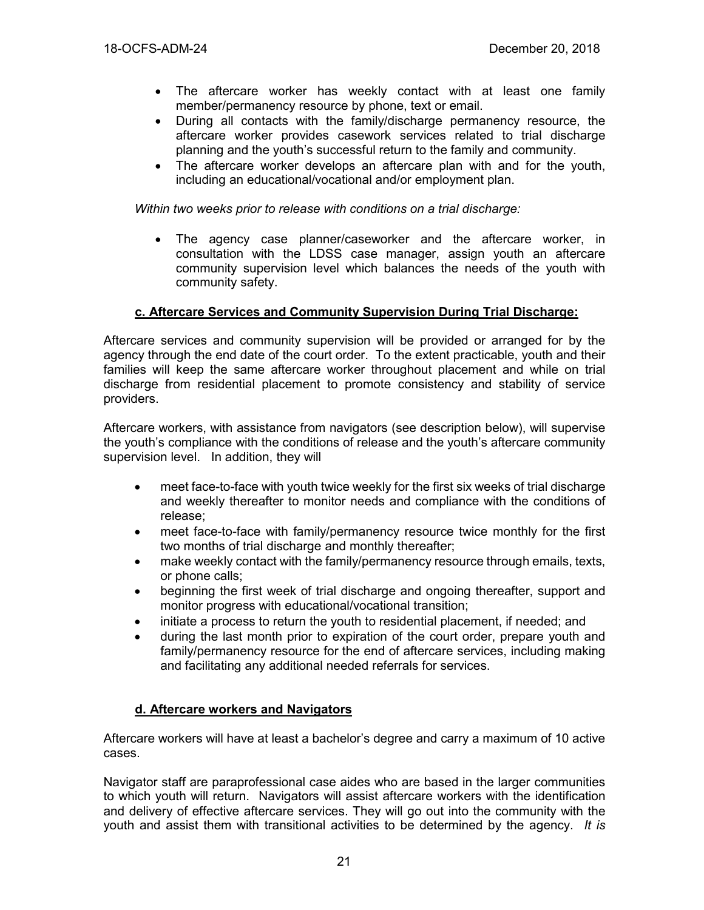- The aftercare worker has weekly contact with at least one family member/permanency resource by phone, text or email.
- During all contacts with the family/discharge permanency resource, the aftercare worker provides casework services related to trial discharge planning and the youth's successful return to the family and community.
- The aftercare worker develops an aftercare plan with and for the youth, including an educational/vocational and/or employment plan.

*Within two weeks prior to release with conditions on a trial discharge:*

The agency case planner/caseworker and the aftercare worker, in consultation with the LDSS case manager, assign youth an aftercare community supervision level which balances the needs of the youth with community safety.

## **c. Aftercare Services and Community Supervision During Trial Discharge:**

Aftercare services and community supervision will be provided or arranged for by the agency through the end date of the court order. To the extent practicable, youth and their families will keep the same aftercare worker throughout placement and while on trial discharge from residential placement to promote consistency and stability of service providers.

Aftercare workers, with assistance from navigators (see description below), will supervise the youth's compliance with the conditions of release and the youth's aftercare community supervision level. In addition, they will

- meet face-to-face with youth twice weekly for the first six weeks of trial discharge and weekly thereafter to monitor needs and compliance with the conditions of release;
- meet face-to-face with family/permanency resource twice monthly for the first two months of trial discharge and monthly thereafter;
- make weekly contact with the family/permanency resource through emails, texts, or phone calls;
- beginning the first week of trial discharge and ongoing thereafter, support and monitor progress with educational/vocational transition;
- initiate a process to return the youth to residential placement, if needed; and
- during the last month prior to expiration of the court order, prepare youth and family/permanency resource for the end of aftercare services, including making and facilitating any additional needed referrals for services.

## **d. Aftercare workers and Navigators**

Aftercare workers will have at least a bachelor's degree and carry a maximum of 10 active cases.

Navigator staff are paraprofessional case aides who are based in the larger communities to which youth will return. Navigators will assist aftercare workers with the identification and delivery of effective aftercare services. They will go out into the community with the youth and assist them with transitional activities to be determined by the agency. *It is*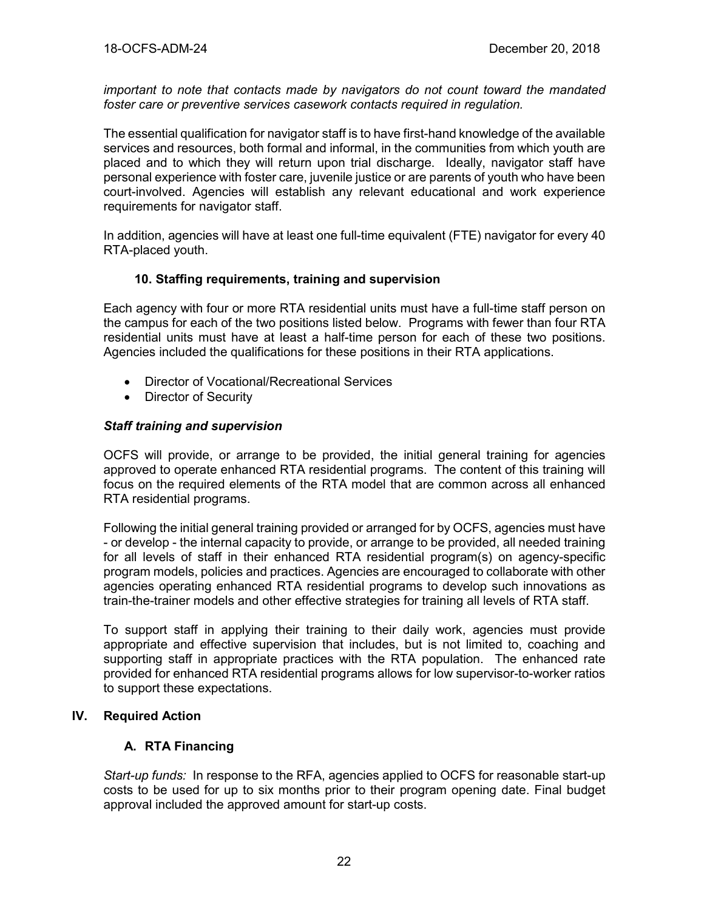*important to note that contacts made by navigators do not count toward the mandated foster care or preventive services casework contacts required in regulation.* 

The essential qualification for navigator staff is to have first-hand knowledge of the available services and resources, both formal and informal, in the communities from which youth are placed and to which they will return upon trial discharge. Ideally, navigator staff have personal experience with foster care, juvenile justice or are parents of youth who have been court-involved. Agencies will establish any relevant educational and work experience requirements for navigator staff.

In addition, agencies will have at least one full-time equivalent (FTE) navigator for every 40 RTA-placed youth.

## **10. Staffing requirements, training and supervision**

Each agency with four or more RTA residential units must have a full-time staff person on the campus for each of the two positions listed below. Programs with fewer than four RTA residential units must have at least a half-time person for each of these two positions. Agencies included the qualifications for these positions in their RTA applications.

- Director of Vocational/Recreational Services
- Director of Security

## *Staff training and supervision*

OCFS will provide, or arrange to be provided, the initial general training for agencies approved to operate enhanced RTA residential programs. The content of this training will focus on the required elements of the RTA model that are common across all enhanced RTA residential programs.

Following the initial general training provided or arranged for by OCFS, agencies must have - or develop - the internal capacity to provide, or arrange to be provided, all needed training for all levels of staff in their enhanced RTA residential program(s) on agency-specific program models, policies and practices. Agencies are encouraged to collaborate with other agencies operating enhanced RTA residential programs to develop such innovations as train-the-trainer models and other effective strategies for training all levels of RTA staff.

To support staff in applying their training to their daily work, agencies must provide appropriate and effective supervision that includes, but is not limited to, coaching and supporting staff in appropriate practices with the RTA population. The enhanced rate provided for enhanced RTA residential programs allows for low supervisor-to-worker ratios to support these expectations.

## **IV. Required Action**

# **A. RTA Financing**

*Start-up funds:* In response to the RFA, agencies applied to OCFS for reasonable start-up costs to be used for up to six months prior to their program opening date. Final budget approval included the approved amount for start-up costs.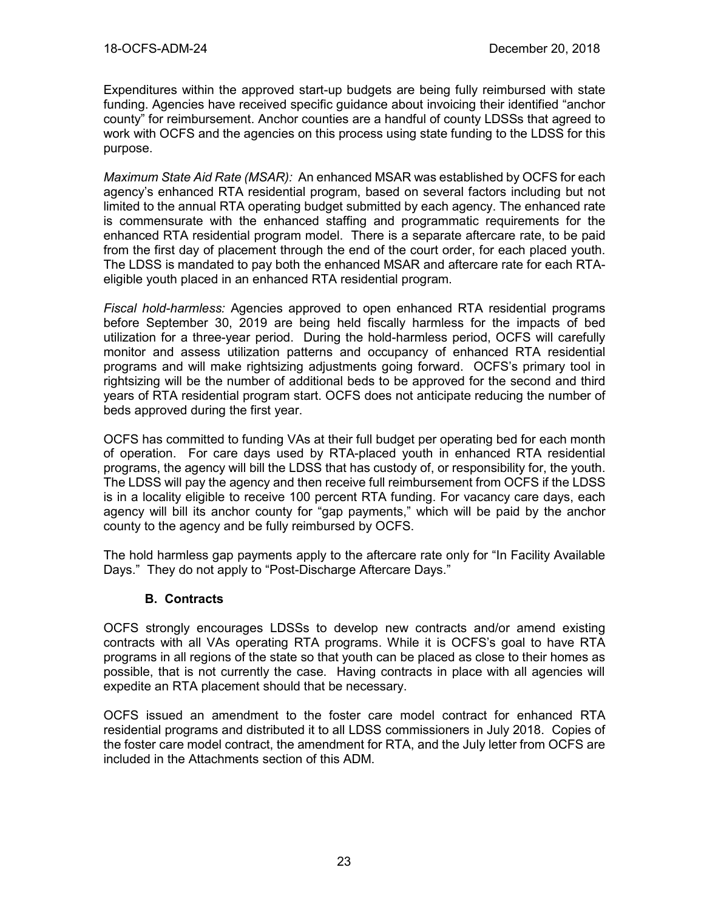Expenditures within the approved start-up budgets are being fully reimbursed with state funding. Agencies have received specific guidance about invoicing their identified "anchor county" for reimbursement. Anchor counties are a handful of county LDSSs that agreed to work with OCFS and the agencies on this process using state funding to the LDSS for this purpose.

*Maximum State Aid Rate (MSAR):* An enhanced MSAR was established by OCFS for each agency's enhanced RTA residential program, based on several factors including but not limited to the annual RTA operating budget submitted by each agency. The enhanced rate is commensurate with the enhanced staffing and programmatic requirements for the enhanced RTA residential program model. There is a separate aftercare rate, to be paid from the first day of placement through the end of the court order, for each placed youth. The LDSS is mandated to pay both the enhanced MSAR and aftercare rate for each RTAeligible youth placed in an enhanced RTA residential program.

*Fiscal hold-harmless:* Agencies approved to open enhanced RTA residential programs before September 30, 2019 are being held fiscally harmless for the impacts of bed utilization for a three-year period. During the hold-harmless period, OCFS will carefully monitor and assess utilization patterns and occupancy of enhanced RTA residential programs and will make rightsizing adjustments going forward. OCFS's primary tool in rightsizing will be the number of additional beds to be approved for the second and third years of RTA residential program start. OCFS does not anticipate reducing the number of beds approved during the first year.

OCFS has committed to funding VAs at their full budget per operating bed for each month of operation. For care days used by RTA-placed youth in enhanced RTA residential programs, the agency will bill the LDSS that has custody of, or responsibility for, the youth. The LDSS will pay the agency and then receive full reimbursement from OCFS if the LDSS is in a locality eligible to receive 100 percent RTA funding. For vacancy care days, each agency will bill its anchor county for "gap payments," which will be paid by the anchor county to the agency and be fully reimbursed by OCFS.

The hold harmless gap payments apply to the aftercare rate only for "In Facility Available Days." They do not apply to "Post-Discharge Aftercare Days."

# **B. Contracts**

OCFS strongly encourages LDSSs to develop new contracts and/or amend existing contracts with all VAs operating RTA programs. While it is OCFS's goal to have RTA programs in all regions of the state so that youth can be placed as close to their homes as possible, that is not currently the case. Having contracts in place with all agencies will expedite an RTA placement should that be necessary.

OCFS issued an amendment to the foster care model contract for enhanced RTA residential programs and distributed it to all LDSS commissioners in July 2018. Copies of the foster care model contract, the amendment for RTA, and the July letter from OCFS are included in the Attachments section of this ADM.